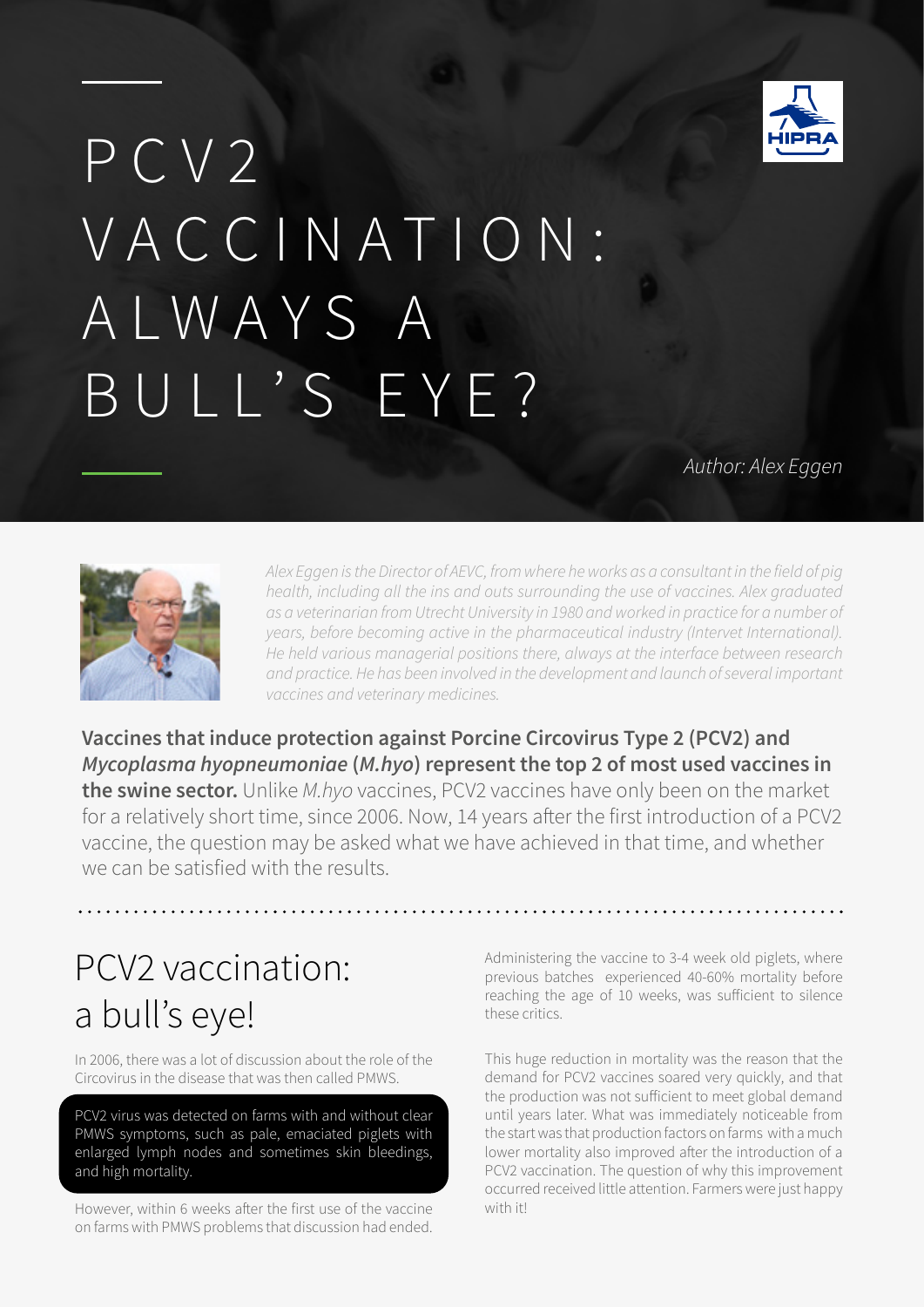

# PCV<sub>2</sub> VACCINATION: ALWAYS A BULL'S EYE?

*Author: Alex Eggen*



*Alex Eggen is the Director of AEVC, from where he works as a consultant in the field of pig health, including all the ins and outs surrounding the use of vaccines. Alex graduated as a veterinarian from Utrecht University in 1980 and worked in practice for a number of years, before becoming active in the pharmaceutical industry (Intervet International). He held various managerial positions there, always at the interface between research and practice. He has been involved in the development and launch of several important vaccines and veterinary medicines.*

**Vaccines that induce protection against Porcine Circovirus Type 2 (PCV2) and**  *Mycoplasma hyopneumoniae* **(***M.hyo***) represent the top 2 of most used vaccines in the swine sector.** Unlike *M.hyo* vaccines, PCV2 vaccines have only been on the market for a relatively short time, since 2006. Now, 14 years after the first introduction of a PCV2 vaccine, the question may be asked what we have achieved in that time, and whether we can be satisfied with the results.

# PCV2 vaccination: a bull's eye!

In 2006, there was a lot of discussion about the role of the Circovirus in the disease that was then called PMWS.

PCV2 virus was detected on farms with and without clear PMWS symptoms, such as pale, emaciated piglets with enlarged lymph nodes and sometimes skin bleedings, and high mortality.

However, within 6 weeks after the first use of the vaccine on farms with PMWS problems that discussion had ended.

Administering the vaccine to 3-4 week old piglets, where previous batches experienced 40-60% mortality before reaching the age of 10 weeks, was sufficient to silence these critics.

This huge reduction in mortality was the reason that the demand for PCV2 vaccines soared very quickly, and that the production was not sufficient to meet global demand until years later. What was immediately noticeable from the start was that production factors on farms with a much lower mortality also improved after the introduction of a PCV2 vaccination. The question of why this improvement occurred received little attention. Farmers were just happy with it!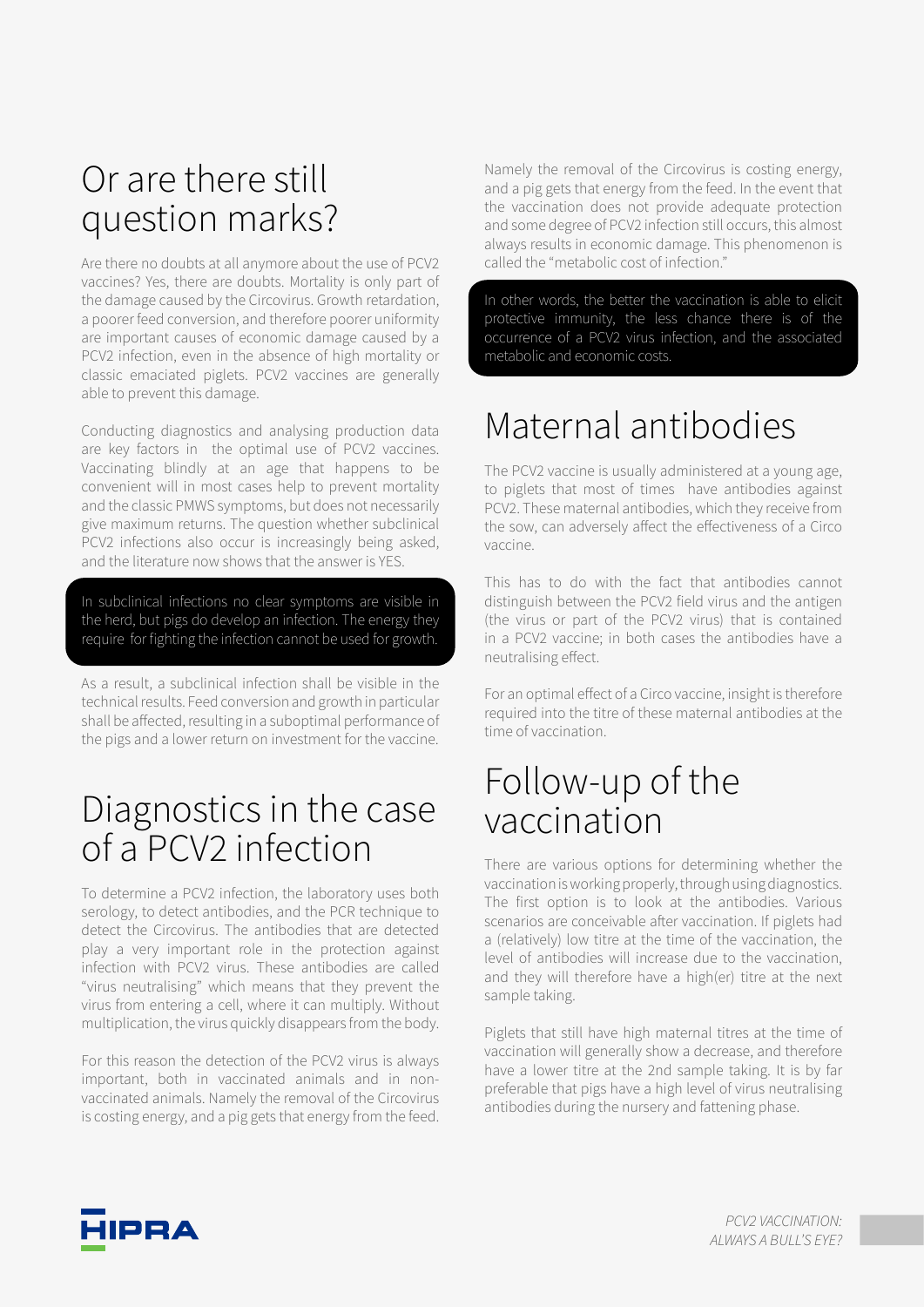# Or are there still question marks?

Are there no doubts at all anymore about the use of PCV2 vaccines? Yes, there are doubts. Mortality is only part of the damage caused by the Circovirus. Growth retardation, a poorer feed conversion, and therefore poorer uniformity are important causes of economic damage caused by a PCV2 infection, even in the absence of high mortality or classic emaciated piglets. PCV2 vaccines are generally able to prevent this damage.

Conducting diagnostics and analysing production data are key factors in the optimal use of PCV2 vaccines. Vaccinating blindly at an age that happens to be convenient will in most cases help to prevent mortality and the classic PMWS symptoms, but does not necessarily give maximum returns. The question whether subclinical PCV2 infections also occur is increasingly being asked, and the literature now shows that the answer is YES.

In subclinical infections no clear symptoms are visible in the herd, but pigs do develop an infection. The energy they require for fighting the infection cannot be used for growth.

As a result, a subclinical infection shall be visible in the technical results. Feed conversion and growth in particular shall be affected, resulting in a suboptimal performance of the pigs and a lower return on investment for the vaccine.

### Diagnostics in the case of a PCV2 infection

To determine a PCV2 infection, the laboratory uses both serology, to detect antibodies, and the PCR technique to detect the Circovirus. The antibodies that are detected play a very important role in the protection against infection with PCV2 virus. These antibodies are called "virus neutralising" which means that they prevent the virus from entering a cell, where it can multiply. Without multiplication, the virus quickly disappears from the body.

For this reason the detection of the PCV2 virus is always important, both in vaccinated animals and in nonvaccinated animals. Namely the removal of the Circovirus is costing energy, and a pig gets that energy from the feed.

Namely the removal of the Circovirus is costing energy, and a pig gets that energy from the feed. In the event that the vaccination does not provide adequate protection and some degree of PCV2 infection still occurs, this almost always results in economic damage. This phenomenon is called the "metabolic cost of infection."

In other words, the better the vaccination is able to elicit protective immunity, the less chance there is of the occurrence of a PCV2 virus infection, and the associated metabolic and economic costs.

# Maternal antibodies

The PCV2 vaccine is usually administered at a young age, to piglets that most of times have antibodies against PCV2. These maternal antibodies, which they receive from the sow, can adversely affect the effectiveness of a Circo vaccine.

This has to do with the fact that antibodies cannot distinguish between the PCV2 field virus and the antigen (the virus or part of the PCV2 virus) that is contained in a PCV2 vaccine; in both cases the antibodies have a neutralising effect.

For an optimal effect of a Circo vaccine, insight is therefore required into the titre of these maternal antibodies at the time of vaccination.

# Follow-up of the vaccination

There are various options for determining whether the vaccination is working properly, through using diagnostics. The first option is to look at the antibodies. Various scenarios are conceivable after vaccination. If piglets had a (relatively) low titre at the time of the vaccination, the level of antibodies will increase due to the vaccination, and they will therefore have a high(er) titre at the next sample taking.

Piglets that still have high maternal titres at the time of vaccination will generally show a decrease, and therefore have a lower titre at the 2nd sample taking. It is by far preferable that pigs have a high level of virus neutralising antibodies during the nursery and fattening phase.

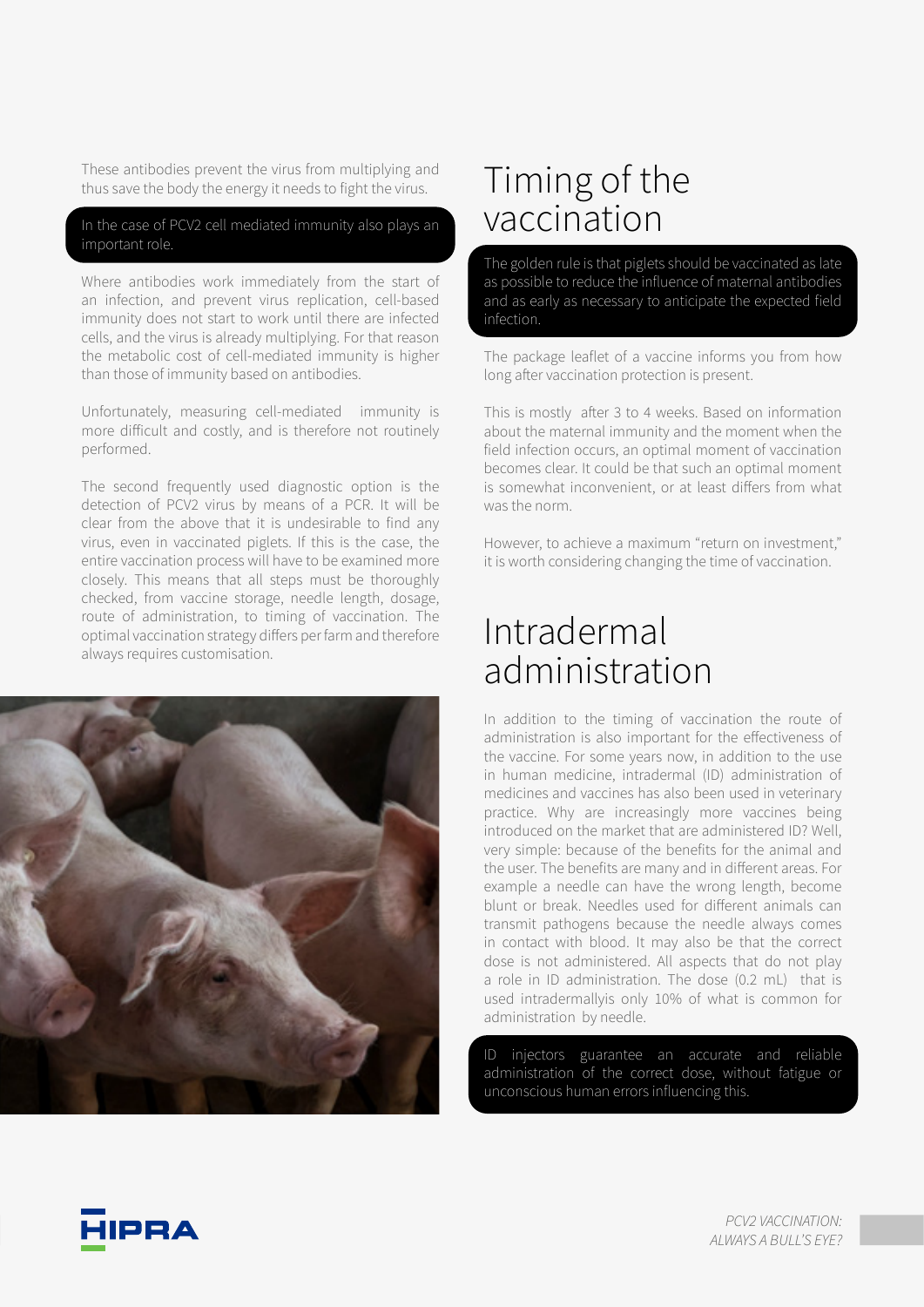These antibodies prevent the virus from multiplying and thus save the body the energy it needs to fight the virus.

#### In the case of PCV2 cell mediated immunity also plays an important role.

Where antibodies work immediately from the start of an infection, and prevent virus replication, cell-based immunity does not start to work until there are infected cells, and the virus is already multiplying. For that reason the metabolic cost of cell-mediated immunity is higher than those of immunity based on antibodies.

Unfortunately, measuring cell-mediated immunity is more difficult and costly, and is therefore not routinely performed.

The second frequently used diagnostic option is the detection of PCV2 virus by means of a PCR. It will be clear from the above that it is undesirable to find any virus, even in vaccinated piglets. If this is the case, the entire vaccination process will have to be examined more closely. This means that all steps must be thoroughly checked, from vaccine storage, needle length, dosage, route of administration, to timing of vaccination. The optimal vaccination strategy differs per farm and therefore always requires customisation.



# Timing of the vaccination

The golden rule is that piglets should be vaccinated as late as possible to reduce the influence of maternal antibodies and as early as necessary to anticipate the expected field infection.

The package leaflet of a vaccine informs you from how long after vaccination protection is present.

This is mostly after 3 to 4 weeks. Based on information about the maternal immunity and the moment when the field infection occurs, an optimal moment of vaccination becomes clear. It could be that such an optimal moment is somewhat inconvenient, or at least differs from what was the norm.

However, to achieve a maximum "return on investment," it is worth considering changing the time of vaccination.

## Intradermal administration

In addition to the timing of vaccination the route of administration is also important for the effectiveness of the vaccine. For some years now, in addition to the use in human medicine, intradermal (ID) administration of medicines and vaccines has also been used in veterinary practice. Why are increasingly more vaccines being introduced on the market that are administered ID? Well, very simple: because of the benefits for the animal and the user. The benefits are many and in different areas. For example a needle can have the wrong length, become blunt or break. Needles used for different animals can transmit pathogens because the needle always comes in contact with blood. It may also be that the correct dose is not administered. All aspects that do not play a role in ID administration. The dose (0.2 mL) that is used intradermallyis only 10% of what is common for administration by needle.

ID injectors guarantee an accurate and reliable administration of the correct dose, without fatigue or unconscious human errors influencing this.